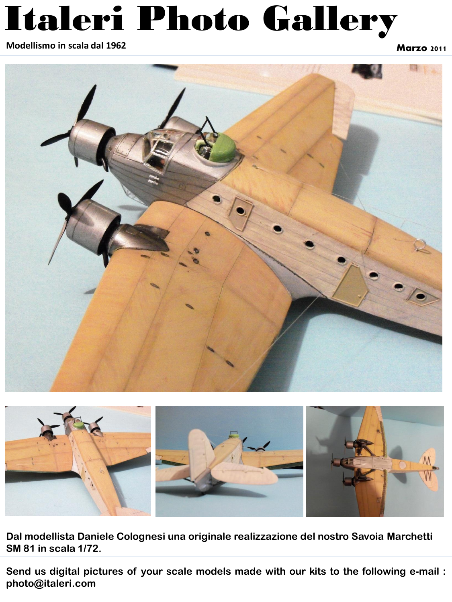#### **Modellismo in scala dal 1962 Marzo 2011 Marzo 2011 Marzo 2011**





**Dal modellista Daniele Colognesi una originale realizzazione del nostro Savoia Marchetti SM 81 in scala 1/72.**

**Send us digital pictures of your scale models made with our kits to the following e-mail : photo@italeri.com**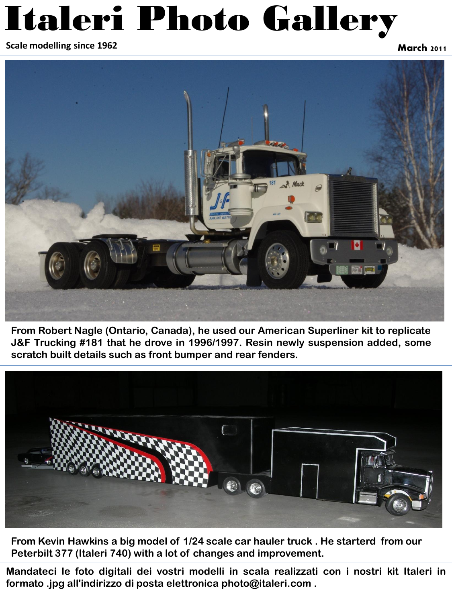**March 2011 Scale modelling since 1962**



**From Robert Nagle (Ontario, Canada), he used our American Superliner kit to replicate J&F Trucking #181 that he drove in 1996/1997. Resin newly suspension added, some scratch built details such as front bumper and rear fenders.**



**From Kevin Hawkins a big model of 1/24 scale car hauler truck . He starterd from our Peterbilt 377 (Italeri 740) with a lot of changes and improvement.** 

**Mandateci le foto digitali dei vostri modelli in scala realizzati con i nostri kit Italeri in formato .jpg all'indirizzo di posta elettronica photo@italeri.com .**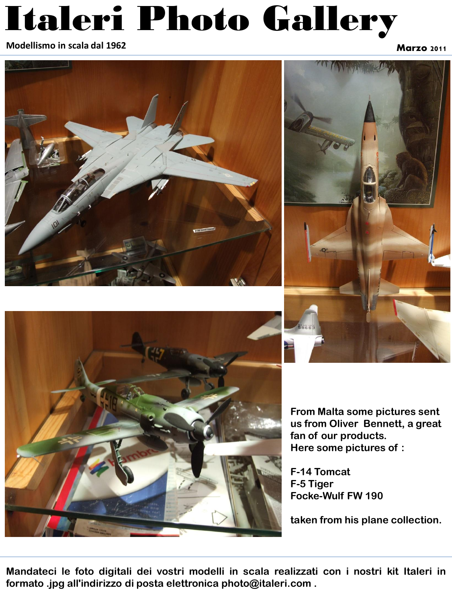**Modellismo in scala dal 1962 Marzo 2011**







**From Malta some pictures sent us from Oliver Bennett, a great fan of our products. Here some pictures of :**

**F-14 Tomcat F-5 Tiger Focke-Wulf FW 190**

**taken from his plane collection.**

**Mandateci le foto digitali dei vostri modelli in scala realizzati con i nostri kit Italeri in formato .jpg all'indirizzo di posta elettronica photo@italeri.com .**